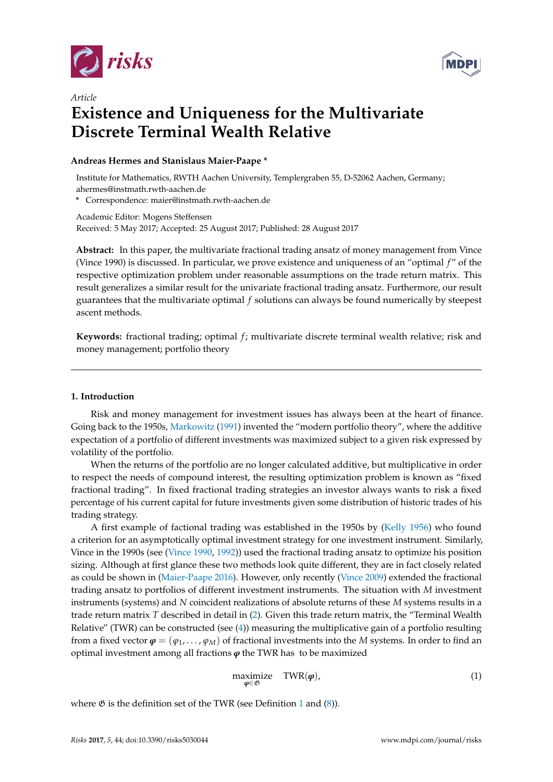

*Article*



# **Existence and Uniqueness for the Multivariate Discrete Terminal Wealth Relative**

## **Andreas Hermes and Stanislaus Maier-Paape \***

Institute for Mathematics, RWTH Aachen University, Templergraben 55, D-52062 Aachen, Germany; ahermes@instmath.rwth-aachen.de

**\*** Correspondence: maier@instmath.rwth-aachen.de

Academic Editor: Mogens Steffensen Received: 5 May 2017; Accepted: 25 August 2017; Published: 28 August 2017

**Abstract:** In this paper, the multivariate fractional trading ansatz of money management from Vince (Vince 1990) is discussed. In particular, we prove existence and uniqueness of an "optimal *f* " of the respective optimization problem under reasonable assumptions on the trade return matrix. This result generalizes a similar result for the univariate fractional trading ansatz. Furthermore, our result guarantees that the multivariate optimal *f* solutions can always be found numerically by steepest ascent methods.

Keywords: fractional trading; optimal *f*; multivariate discrete terminal wealth relative; risk and money management; portfolio theory

## **1. Introduction**

Risk and money management for investment issues has always been at the heart of finance. Going back to the 1950s, [Markowitz](#page-17-0) [\(1991\)](#page-17-0) invented the "modern portfolio theory", where the additive expectation of a portfolio of different investments was maximized subject to a given risk expressed by volatility of the portfolio.

When the returns of the portfolio are no longer calculated additive, but multiplicative in order to respect the needs of compound interest, the resulting optimization problem is known as "fixed fractional trading". In fixed fractional trading strategies an investor always wants to risk a fixed percentage of his current capital for future investments given some distribution of historic trades of his trading strategy.

A first example of factional trading was established in the 1950s by [\(Kelly](#page-17-1) [1956\)](#page-17-1) who found a criterion for an asymptotically optimal investment strategy for one investment instrument. Similarly, Vince in the 1990s (see [\(Vince](#page-17-2) [1990,](#page-17-2) [1992\)](#page-17-3)) used the fractional trading ansatz to optimize his position sizing. Although at first glance these two methods look quite different, they are in fact closely related as could be shown in [\(Maier-Paape](#page-17-4) [2016\)](#page-17-4). However, only recently [\(Vince](#page-17-5) [2009\)](#page-17-5) extended the fractional trading ansatz to portfolios of different investment instruments. The situation with *M* investment instruments (systems) and *N* coincident realizations of absolute returns of these *M* systems results in a trade return matrix *T* described in detail in [\(2\)](#page-1-0). Given this trade return matrix, the "Terminal Wealth Relative" (TWR) can be constructed (see [\(4\)](#page-2-0)) measuring the multiplicative gain of a portfolio resulting from a fixed vector  $\varphi = (\varphi_1, \ldots, \varphi_M)$  of fractional investments into the *M* systems. In order to find an optimal investment among all fractions  $\varphi$  the TWR has to be maximized

<span id="page-0-0"></span>
$$
\begin{array}{ll}\text{maximize} & \text{TWR}(\boldsymbol{\varphi}),\\ \boldsymbol{\varphi} \in \mathfrak{G} \end{array} \tag{1}
$$

where  $\mathfrak G$  is the definition set of the TWR (see Definition [1](#page-2-1) and  $(8)$ ).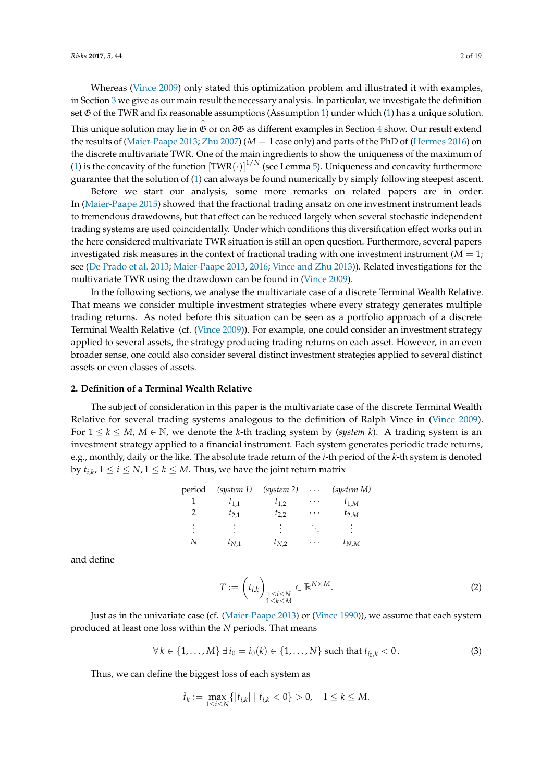Whereas [\(Vince](#page-17-5) [2009\)](#page-17-5) only stated this optimization problem and illustrated it with examples, in Section [3](#page-3-0) we give as our main result the necessary analysis. In particular, we investigate the definition set  $\mathfrak G$  of the TWR and fix reasonable assumptions (Assumption [1\)](#page-4-1) under which [\(1\)](#page-0-0) has a unique solution. This unique solution may lie in ◦ G or on *∂*G as different examples in Section [4](#page-10-0) show. Our result extend the results of [\(Maier-Paape](#page-17-6) [2013;](#page-17-6) [Zhu](#page-18-0) [2007\)](#page-18-0) (*M* = 1 case only) and parts of the PhD of [\(Hermes](#page-17-7) [2016\)](#page-17-7) on the discrete multivariate TWR. One of the main ingredients to show the uniqueness of the maximum of [\(1\)](#page-0-0) is the concavity of the function  $[\text{TWR}(\cdot)]^{1/N}$  (see Lemma [5\)](#page-6-0). Uniqueness and concavity furthermore guarantee that the solution of [\(1\)](#page-0-0) can always be found numerically by simply following steepest ascent.

Before we start our analysis, some more remarks on related papers are in order. In [\(Maier-Paape](#page-17-8) [2015\)](#page-17-8) showed that the fractional trading ansatz on one investment instrument leads to tremendous drawdowns, but that effect can be reduced largely when several stochastic independent trading systems are used coincidentally. Under which conditions this diversification effect works out in the here considered multivariate TWR situation is still an open question. Furthermore, several papers investigated risk measures in the context of fractional trading with one investment instrument  $(M = 1)$ ; see [\(De Prado et al.](#page-17-9) [2013;](#page-17-9) [Maier-Paape](#page-17-6) [2013,](#page-17-6) [2016;](#page-17-4) [Vince and Zhu](#page-18-1) [2013\)](#page-18-1)). Related investigations for the multivariate TWR using the drawdown can be found in [\(Vince](#page-17-5) [2009\)](#page-17-5).

In the following sections, we analyse the multivariate case of a discrete Terminal Wealth Relative. That means we consider multiple investment strategies where every strategy generates multiple trading returns. As noted before this situation can be seen as a portfolio approach of a discrete Terminal Wealth Relative (cf. [\(Vince](#page-17-5) [2009\)](#page-17-5)). For example, one could consider an investment strategy applied to several assets, the strategy producing trading returns on each asset. However, in an even broader sense, one could also consider several distinct investment strategies applied to several distinct assets or even classes of assets.

#### **2. Definition of a Terminal Wealth Relative**

The subject of consideration in this paper is the multivariate case of the discrete Terminal Wealth Relative for several trading systems analogous to the definition of Ralph Vince in [\(Vince](#page-17-5) [2009\)](#page-17-5). For  $1 \leq k \leq M$ ,  $M \in \mathbb{N}$ , we denote the *k*-th trading system by (*system k*). A trading system is an investment strategy applied to a financial instrument. Each system generates periodic trade returns, e.g., monthly, daily or the like. The absolute trade return of the *i*-th period of the *k*-th system is denoted by  $t_{i,k}$ ,  $1 \leq i \leq N$ ,  $1 \leq k \leq M$ . Thus, we have the joint return matrix

| period      | (system 1) | (system 2)  | $\sim$ $\sim$ $\sim$ | (system M) |
|-------------|------------|-------------|----------------------|------------|
|             | $t_{1,1}$  | $t_{1,2}$   | $\cdots$             | $t_{1,M}$  |
|             | $t_{2,1}$  | $t_{2,2}$   | $\cdots$             | $t_{2,M}$  |
| ٠<br>٠<br>٠ |            | ٠<br>٠<br>٠ |                      |            |
| Ν           | $t_{N,1}$  | $t_{N,2}$   | .                    | $t_{N,M}$  |

and define

<span id="page-1-0"></span>
$$
T := \left(t_{i,k}\right)_{\substack{1 \le i \le N \\ 1 \le k \le M}} \in \mathbb{R}^{N \times M}.
$$

Just as in the univariate case (cf. [\(Maier-Paape](#page-17-6) [2013\)](#page-17-6) or [\(Vince](#page-17-2) [1990\)](#page-17-2)), we assume that each system produced at least one loss within the *N* periods. That means

<span id="page-1-1"></span>
$$
\forall k \in \{1, ..., M\} \ \exists \ i_0 = i_0(k) \in \{1, ..., N\} \ \text{such that} \ t_{i_0,k} < 0. \tag{3}
$$

Thus, we can define the biggest loss of each system as

$$
\hat{t}_k := \max_{1 \le i \le N} \{|t_{i,k}| \mid t_{i,k} < 0\} > 0, \quad 1 \le k \le M.
$$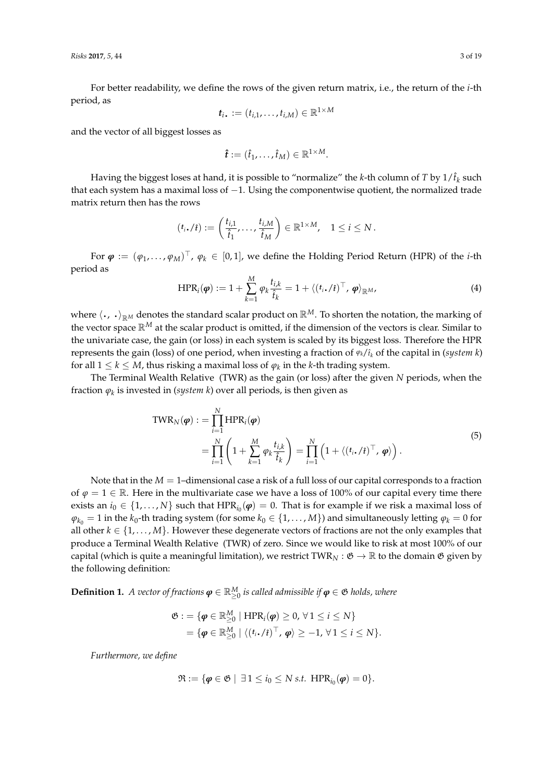For better readability, we define the rows of the given return matrix, i.e., the return of the *i*-th period, as 1×*M*

$$
\boldsymbol{t}_i. := (t_{i,1},\ldots,t_{i,M}) \in \mathbb{R}^{1 \times N}
$$

and the vector of all biggest losses as

$$
\hat{\boldsymbol{t}} := (\hat{t}_1, \ldots, \hat{t}_M) \in \mathbb{R}^{1 \times M}.
$$

Having the biggest loses at hand, it is possible to "normalize" the *k*-th column of *T* by  $1/\hat{t}_k$  such that each system has a maximal loss of  $-1$ . Using the componentwise quotient, the normalized trade matrix return then has the rows

$$
(t_i,\ell_i):=\left(\frac{t_{i,1}}{\hat{t}_1},\ldots,\frac{t_{i,M}}{\hat{t}_M}\right)\in\mathbb{R}^{1\times M},\quad 1\leq i\leq N.
$$

For  $\bm{\varphi}:=(\varphi_1,\ldots,\varphi_M)^\top$ ,  $\varphi_k\in[0,1]$ , we define the Holding Period Return (HPR) of the *i*-th period as

<span id="page-2-0"></span>
$$
\text{HPR}_{i}(\boldsymbol{\varphi}) := 1 + \sum_{k=1}^{M} \varphi_{k} \frac{t_{i,k}}{\hat{t}_{k}} = 1 + \langle (t_{i}. / \hat{t})^{\top}, \boldsymbol{\varphi} \rangle_{\mathbb{R}^{M}}, \tag{4}
$$

where  $\langle \cdot, \cdot \rangle_{\mathbb{R}^M}$  denotes the standard scalar product on  $\mathbb{R}^M$ . To shorten the notation, the marking of the vector space R*<sup>M</sup>* at the scalar product is omitted, if the dimension of the vectors is clear. Similar to the univariate case, the gain (or loss) in each system is scaled by its biggest loss. Therefore the HPR represents the gain (loss) of one period, when investing a fraction of *ϕk*/ˆ*t<sup>k</sup>* of the capital in (*system k*) for all  $1 \leq k \leq M$ , thus risking a maximal loss of  $\varphi_k$  in the *k*-th trading system.

The Terminal Wealth Relative (TWR) as the gain (or loss) after the given *N* periods, when the fraction *ϕ<sup>k</sup>* is invested in (*system k*) over all periods, is then given as

$$
TWR_N(\boldsymbol{\varphi}) := \prod_{i=1}^N HPR_i(\boldsymbol{\varphi})
$$
  
= 
$$
\prod_{i=1}^N \left(1 + \sum_{k=1}^M \varphi_k \frac{t_{i,k}}{\hat{t}_k}\right) = \prod_{i=1}^N \left(1 + \langle (t_i \cdot / \hat{t})^{\top}, \boldsymbol{\varphi} \rangle \right).
$$
 (5)

Note that in the  $M = 1$ –dimensional case a risk of a full loss of our capital corresponds to a fraction of  $\varphi = 1 \in \mathbb{R}$ . Here in the multivariate case we have a loss of 100% of our capital every time there exists an  $i_0 \in \{1, ..., N\}$  such that  $HPR_{i_0}(\varphi) = 0$ . That is for example if we risk a maximal loss of  $\varphi_{k_0} = 1$  in the  $k_0$ -th trading system (for some  $k_0 \in \{1, ..., M\}$ ) and simultaneously letting  $\varphi_k = 0$  for all other  $k \in \{1, \ldots, M\}$ . However these degenerate vectors of fractions are not the only examples that produce a Terminal Wealth Relative (TWR) of zero. Since we would like to risk at most 100% of our capital (which is quite a meaningful limitation), we restrict TWR<sub>N</sub> :  $\mathfrak{G} \to \mathbb{R}$  to the domain  $\mathfrak{G}$  given by the following definition:

<span id="page-2-1"></span>**Definition 1.** *A vector of fractions*  $\boldsymbol{\varphi} \in \mathbb{R}_{\geq 0}^M$  *is called admissible if*  $\boldsymbol{\varphi} \in \mathfrak{G}$  *holds, where* 

$$
\mathfrak{G} := \{ \boldsymbol{\varphi} \in \mathbb{R}_{\geq 0}^M \mid \text{HPR}_i(\boldsymbol{\varphi}) \geq 0, \forall 1 \leq i \leq N \} = \{ \boldsymbol{\varphi} \in \mathbb{R}_{\geq 0}^M \mid \langle (t_i, t_i)^\top, \boldsymbol{\varphi} \rangle \geq -1, \forall 1 \leq i \leq N \}.
$$

*Furthermore, we define*

$$
\mathfrak{R} := \{ \boldsymbol{\varphi} \in \mathfrak{G} \mid \exists 1 \leq i_0 \leq N \, \text{s.t.} \, \, \text{HPR}_{i_0}(\boldsymbol{\varphi}) = 0 \}.
$$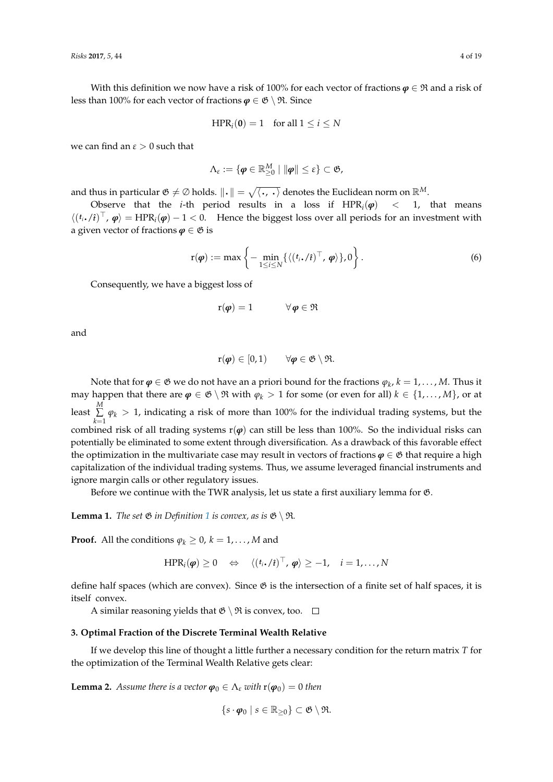With this definition we now have a risk of 100% for each vector of fractions  $\boldsymbol{\varphi} \in \mathfrak{R}$  and a risk of less than 100% for each vector of fractions  $\varphi \in \mathfrak{G} \setminus \mathfrak{R}$ . Since

$$
HPR_i(\mathbf{0}) = 1 \quad \text{for all } 1 \le i \le N
$$

we can find an  $\varepsilon > 0$  such that

$$
\Lambda_{\varepsilon}:=\{\boldsymbol{\varphi}\in\mathbb{R}_{\geq0}^M\mid\|\boldsymbol{\varphi}\|\leq\varepsilon\}\subset\mathfrak{G},
$$

and thus in particular  $\mathfrak{G} \neq \emptyset$  holds.  $\|\cdot\| = \sqrt{\langle \cdot, \cdot \rangle}$  denotes the Euclidean norm on  $\mathbb{R}^M$ .

Observe that the *i*-th period results in a loss if  $HPR_i(\varphi) < 1$ , that means  $\langle (t_i, t)^{\top}, \varphi \rangle = \text{HPR}_i(\varphi) - 1 < 0.$  Hence the biggest loss over all periods for an investment with a given vector of fractions  $\varphi \in \mathfrak{G}$  is

$$
\mathbf{r}(\boldsymbol{\varphi}) := \max \left\{ -\min_{1 \leq i \leq N} \{ \langle (t_i, / i)^{\top}, \boldsymbol{\varphi} \rangle \}, 0 \right\}.
$$
 (6)

Consequently, we have a biggest loss of

$$
\mathbf{r}(\boldsymbol{\varphi}) = 1 \qquad \qquad \forall \, \boldsymbol{\varphi} \in \mathfrak{R}
$$

and

$$
\mathrm{r}(\boldsymbol{\varphi}) \in [0,1) \qquad \forall \boldsymbol{\varphi} \in \mathfrak{G} \setminus \mathfrak{R}.
$$

Note that for  $\boldsymbol{\varphi} \in \mathfrak{G}$  we do not have an a priori bound for the fractions  $\varphi_k$ ,  $k = 1, \ldots, M$ . Thus it may happen that there are  $\varphi \in \mathfrak{G} \setminus \mathfrak{R}$  with  $\varphi_k > 1$  for some (or even for all)  $k \in \{1, ..., M\}$ , or at least *M* ∑  $\sum_{k=1}$   $\varphi_k$  > 1, indicating a risk of more than 100% for the individual trading systems, but the combined risk of all trading systems  $r(\varphi)$  can still be less than 100%. So the individual risks can potentially be eliminated to some extent through diversification. As a drawback of this favorable effect the optimization in the multivariate case may result in vectors of fractions  $\varphi \in \mathfrak{G}$  that require a high capitalization of the individual trading systems. Thus, we assume leveraged financial instruments and ignore margin calls or other regulatory issues.

Before we continue with the TWR analysis, let us state a first auxiliary lemma for G.

<span id="page-3-1"></span>**Lemma [1](#page-2-1).** *The set*  $\mathfrak{G}$  *in Definition* 1 *is convex, as is*  $\mathfrak{G} \setminus \mathfrak{R}$ *.* 

**Proof.** All the conditions  $\varphi_k \geq 0$ ,  $k = 1, ..., M$  and

$$
HPR_i(\boldsymbol{\varphi}) \geq 0 \quad \Leftrightarrow \quad \langle (t_i \cdot / \hat{\imath})^{\top}, \, \boldsymbol{\varphi} \rangle \geq -1, \quad i = 1, \ldots, N
$$

define half spaces (which are convex). Since  $\mathfrak G$  is the intersection of a finite set of half spaces, it is itself convex.

A similar reasoning yields that  $\mathfrak{G} \setminus \mathfrak{R}$  is convex, too.  $\Box$ 

#### <span id="page-3-0"></span>**3. Optimal Fraction of the Discrete Terminal Wealth Relative**

If we develop this line of thought a little further a necessary condition for the return matrix *T* for the optimization of the Terminal Wealth Relative gets clear:

**Lemma 2.** *Assume there is a vector*  $\boldsymbol{\varphi}_0 \in \Lambda_{\varepsilon}$  *with*  $\mathbf{r}(\boldsymbol{\varphi}_0) = 0$  *then* 

$$
\{s \cdot \boldsymbol{\varphi}_0 \mid s \in \mathbb{R}_{\geq 0}\} \subset \mathfrak{G} \setminus \mathfrak{R}.
$$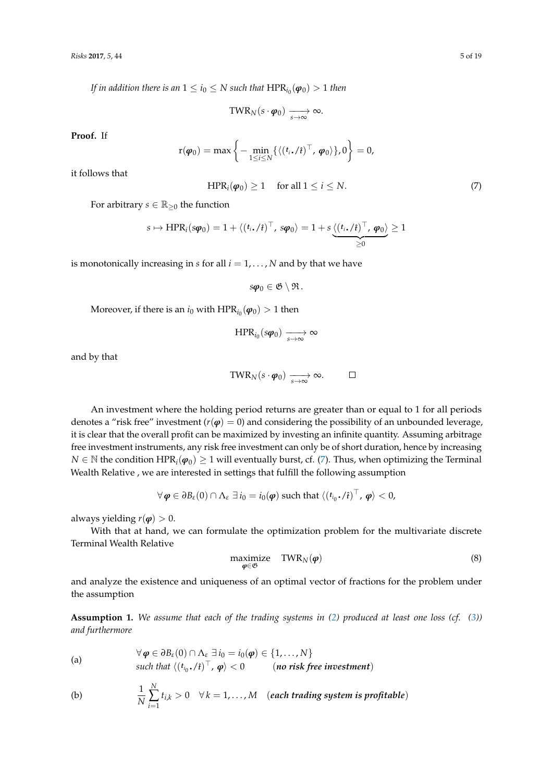*If in addition there is an*  $1\leq i_0\leq N$  *such that*  $\text{HPR}_{i_0}(\bm{\varphi}_0)>1$  *then* 

$$
\text{TWR}_N(s \cdot \boldsymbol{\varphi}_0) \xrightarrow[s \to \infty]{} \infty.
$$

**Proof.** If

$$
\mathbf{r}(\boldsymbol{\varphi}_0) = \max \left\{ -\min_{1 \leq i \leq N} \{ \langle (t_i, f)^\top, \boldsymbol{\varphi}_0 \rangle \}, 0 \right\} = 0,
$$

it follows that

<span id="page-4-2"></span>
$$
HPRi(\varphi_0) \ge 1 \quad \text{ for all } 1 \le i \le N. \tag{7}
$$

For arbitrary *s*  $\in \mathbb{R}_{\geq 0}$  the function

$$
s \mapsto \text{HPR}_i(s\varphi_0) = 1 + \langle (t_i \cdot / i)^{\top}, s\varphi_0 \rangle = 1 + s \underbrace{\langle (t_i \cdot / i)^{\top}, \varphi_0 \rangle}_{\geq 0} \geq 1
$$

is monotonically increasing in  $s$  for all  $i = 1, \ldots, N$  and by that we have

 $s\varphi_0 \in \mathfrak{G} \setminus \mathfrak{R}$ .

Moreover, if there is an  $i_0$  with  $\text{HPR}_{i_0}(\varphi_0) > 1$  then

 $HPR_{i_0}(s\varphi_0) \longrightarrow \infty$ 

and by that

$$
\text{TWR}_N(s \cdot \boldsymbol{\varphi}_0) \xrightarrow[s \to \infty]{} \infty. \qquad \Box
$$

An investment where the holding period returns are greater than or equal to 1 for all periods denotes a "risk free" investment ( $r(\varphi) = 0$ ) and considering the possibility of an unbounded leverage, it is clear that the overall profit can be maximized by investing an infinite quantity. Assuming arbitrage free investment instruments, any risk free investment can only be of short duration, hence by increasing *N* ∈ N the condition HPR<sub>*i*</sub>( $\phi$ <sub>0</sub>) ≥ 1 will eventually burst, cf. [\(7\)](#page-4-2). Thus, when optimizing the Terminal Wealth Relative , we are interested in settings that fulfill the following assumption

$$
\forall \boldsymbol{\varphi} \in \partial B_{\varepsilon}(0) \cap \Lambda_{\varepsilon} \exists i_0 = i_0(\boldsymbol{\varphi}) \text{ such that } \langle (t_{i_0}.f)^\top, \boldsymbol{\varphi} \rangle < 0,
$$

always yielding  $r(\varphi) > 0$ .

With that at hand, we can formulate the optimization problem for the multivariate discrete Terminal Wealth Relative

<span id="page-4-0"></span>
$$
\begin{array}{ll}\text{maximize} & \text{TWR}_N(\boldsymbol{\varphi})\\ \boldsymbol{\varphi} \in \mathfrak{G} \end{array} \tag{8}
$$

and analyze the existence and uniqueness of an optimal vector of fractions for the problem under the assumption

<span id="page-4-1"></span>**Assumption 1.** *We assume that each of the trading systems in [\(2\)](#page-1-0) produced at least one loss (cf. [\(3\)](#page-1-1)) and furthermore*

<span id="page-4-3"></span>(a) 
$$
\forall \varphi \in \partial B_{\varepsilon}(0) \cap \Lambda_{\varepsilon} \exists i_0 = i_0(\varphi) \in \{1, ..., N\}
$$
  
such that  $\langle (t_{i_0}, \ell)^{\top}, \varphi \rangle < 0$  (*no risk free investment*)

<span id="page-4-4"></span>(b) 
$$
\frac{1}{N} \sum_{i=1}^{N} t_{i,k} > 0 \quad \forall k = 1,...,M \quad (each trading system is profitable)
$$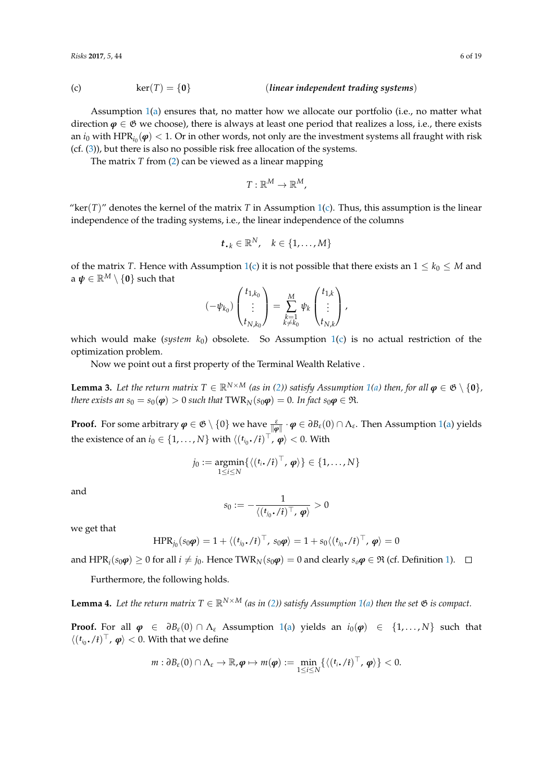<span id="page-5-0"></span>(c) 
$$
\ker(T) = \{0\}
$$
 (*linear independent trading systems*)

Assumption [1\(](#page-4-1)[a\)](#page-4-3) ensures that, no matter how we allocate our portfolio (i.e., no matter what direction  $\varphi \in \mathfrak{G}$  we choose), there is always at least one period that realizes a loss, i.e., there exists an  $i_0$  with  $\text{HPR}_{i_0}(\bm{\varphi}) < 1.$  Or in other words, not only are the investment systems all fraught with risk (cf. [\(3\)](#page-1-1)), but there is also no possible risk free allocation of the systems.

The matrix *T* from [\(2\)](#page-1-0) can be viewed as a linear mapping

$$
T:\mathbb{R}^M\to\mathbb{R}^M,
$$

"ker( $T$ )" denotes the kernel of the matrix  $T$  in Assumption [1](#page-4-1)[\(c\)](#page-5-0). Thus, this assumption is the linear independence of the trading systems, i.e., the linear independence of the columns

$$
t_{\bullet k} \in \mathbb{R}^N, \quad k \in \{1, \dots, M\}
$$

of the matrix *T*. Hence with Assumption [1\(](#page-4-1)[c\)](#page-5-0) it is not possible that there exists an  $1 \leq k_0 \leq M$  and a  $\boldsymbol{\psi} \in \mathbb{R}^M \setminus \{0\}$  such that

$$
(-\psi_{k_0})\begin{pmatrix}t_{1,k_0} \\ \vdots \\ t_{N,k_0}\end{pmatrix} = \sum_{\substack{k=1\\k\neq k_0}}^M \psi_k \begin{pmatrix}t_{1,k} \\ \vdots \\ t_{N,k}\end{pmatrix},
$$

which would make (*system k*0) obsolete. So Assumption [1\(](#page-4-1)[c\)](#page-5-0) is no actual restriction of the optimization problem.

Now we point out a first property of the Terminal Wealth Relative .

**Lemma 3.** Let the return matrix  $T \in \mathbb{R}^{N \times M}$  (as in [\(2\)](#page-1-0)) satisfy Assumption [1\(](#page-4-1)[a\)](#page-4-3) then, for all  $\varphi \in \mathfrak{G} \setminus \{0\}$ , *there exists an*  $s_0 = s_0(\phi) > 0$  *such that*  $TWR_N(s_0\phi) = 0$ *. In fact*  $s_0\phi \in \Re$ *.* 

**Proof.** For some arbitrary  $\bm{\varphi} \in \mathfrak{G} \setminus \{0\}$  we have  $\frac{\varepsilon}{\|\bm{\varphi}\|} \cdot \bm{\varphi} \in \partial B_{\varepsilon}(0) \cap \Lambda_{\varepsilon}$ . Then Assumption [1](#page-4-1)[\(a\)](#page-4-3) yields the existence of an  $i_0 \in \{1, ..., N\}$  with  $\langle (t_{i_0} \cdot / \hat{t})^{\top}, \varphi \rangle < 0$ . With

$$
j_0 := \underset{1 \leq i \leq N}{\text{argmin}} \{ \langle (t_i \cdot / \hat{\imath})^\top, \varphi \rangle \} \in \{1, \ldots, N\}
$$

and

$$
s_0 := -\frac{1}{\langle (t_{j_0} \boldsymbol{.}/\hat{\boldsymbol{t}})^\top, \boldsymbol{\varphi} \rangle} > 0
$$

we get that

$$
HPR_{j_0}(s_0\boldsymbol{\varphi}) = 1 + \langle (t_{j_0} \cdot \hat{\imath})^{\top}, s_0\boldsymbol{\varphi} \rangle = 1 + s_0 \langle (t_{j_0} \cdot \hat{\imath})^{\top}, \boldsymbol{\varphi} \rangle = 0
$$

and  $HPR_i(s_0\phi) \ge 0$  for all *i* ≠ *j*<sub>0</sub>. Hence TWR<sub>*N*</sub>( $s_0\phi$ ) = 0 and clearly  $s_0\phi \in \mathfrak{R}$  (cf. Definition [1\)](#page-2-1).  $\Box$ 

Furthermore, the following holds.

<span id="page-5-1"></span>**Lemma 4.** Let the return matrix  $T \in \mathbb{R}^{N \times M}$  (as in [\(2\)](#page-1-0)) satisfy Assumption [1](#page-4-1)[\(a\)](#page-4-3) then the set  $\mathfrak{G}$  is compact.

**Proof.** For all  $\varphi \in \partial B_{\varepsilon}(0) \cap \Lambda_{\varepsilon}$  Assumption [1](#page-4-1)[\(a\)](#page-4-3) yields an  $i_0(\varphi) \in \{1, ..., N\}$  such that  $\langle (t_{i_0} \cdot / \hat{t})^{\top}, \varphi \rangle < 0$ . With that we define

$$
m: \partial B_{\varepsilon}(0) \cap \Lambda_{\varepsilon} \to \mathbb{R}, \boldsymbol{\varphi} \mapsto m(\boldsymbol{\varphi}) := \min_{1 \leq i \leq N} \{ \langle (t_i, f_i)^\top, \boldsymbol{\varphi} \rangle \} < 0.
$$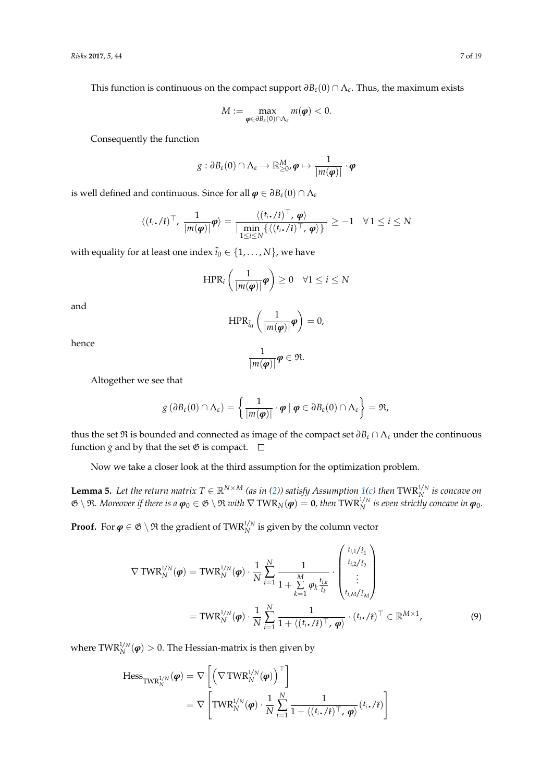This function is continuous on the compact support  $\partial B_{\varepsilon}(0) \cap \Lambda_{\varepsilon}$ . Thus, the maximum exists

$$
M:=\max_{\boldsymbol{\varphi}\in\partial B_{\varepsilon}(0)\cap\Lambda_{\varepsilon}}m(\boldsymbol{\varphi})<0.
$$

Consequently the function

$$
g: \partial B_{\varepsilon}(0) \cap \Lambda_{\varepsilon} \to \mathbb{R}_{\geq 0}^M, \boldsymbol{\varphi} \mapsto \frac{1}{|m(\boldsymbol{\varphi})|} \cdot \boldsymbol{\varphi}
$$

is well defined and continuous. Since for all  $\boldsymbol{\varphi} \in \partial B_{\varepsilon}(0) \cap \Lambda_{\varepsilon}$ 

$$
\langle (t_i, t)^{\top}, \frac{1}{|m(\varphi)|} \varphi \rangle = \frac{\langle (t_i, t)^{\top}, \varphi \rangle}{|\min_{1 \leq i \leq N} \{ \langle (t_i, t)^{\top}, \varphi \rangle \}|} \geq -1 \quad \forall 1 \leq i \leq N
$$

with equality for at least one index  $\tilde{i}_0 \in \{1, \ldots, N\}$ , we have

$$
\text{HPR}_{i}\left(\frac{1}{|m(\boldsymbol{\varphi})|}\boldsymbol{\varphi}\right) \geq 0 \quad \forall 1 \leq i \leq N
$$

and

$$
\mathrm{HPR}_{\tilde{i}_0}\left(\frac{1}{|m(\boldsymbol{\varphi})|}\boldsymbol{\varphi}\right)=0,
$$

hence

<span id="page-6-1"></span>
$$
\frac{1}{|m(\boldsymbol{\varphi})|}\boldsymbol{\varphi}\in\mathfrak{R}.
$$

Altogether we see that

$$
g\left(\partial B_{\varepsilon}(0)\cap\Lambda_{\varepsilon}\right)=\left\{\frac{1}{|m(\boldsymbol{\varphi})|}\cdot\boldsymbol{\varphi}\mid\boldsymbol{\varphi}\in\partial B_{\varepsilon}(0)\cap\Lambda_{\varepsilon}\right\}=\mathfrak{R},
$$

thus the set  $\Re$  is bounded and connected as image of the compact set  $\partial B_\varepsilon \cap \Lambda_\varepsilon$  under the continuous function *g* and by that the set  $\mathfrak G$  is compact.  $\Box$ 

Now we take a closer look at the third assumption for the optimization problem.

<span id="page-6-0"></span>**Lemma 5.** Let the return matrix  $T \in \mathbb{R}^{N \times M}$  (as in [\(2\)](#page-1-0)) satisfy Assumption [1](#page-4-1)[\(c\)](#page-5-0) then TWR $_N^{1/N}$  is concave on  $\mathfrak{G} \setminus \mathfrak{R}$ *. Moreover if there is a*  $\boldsymbol{\varphi}_0 \in \mathfrak{G} \setminus \mathfrak{R}$  with  $\nabla \text{ TWR}_N(\boldsymbol{\varphi}) = \mathbf{0}$ *, then*  $\text{TWR}_N^{1/N}$  is even strictly concave in  $\boldsymbol{\varphi}_0$ .

**Proof.** For  $\varphi \in \mathfrak{G} \setminus \mathfrak{R}$  the gradient of TWR<sup>1/N</sup> is given by the column vector

$$
\nabla \text{TWR}_{N}^{1/N}(\boldsymbol{\varphi}) = \text{TWR}_{N}^{1/N}(\boldsymbol{\varphi}) \cdot \frac{1}{N} \sum_{i=1}^{N} \frac{1}{1 + \sum_{k=1}^{M} \varphi_{k} \frac{t_{i,k}}{\hat{t}_{k}}} \cdot \begin{pmatrix} t_{i,1}/\hat{t}_{1} \\ t_{i,2}/\hat{t}_{2} \\ \vdots \\ t_{i,M}/\hat{t}_{M} \end{pmatrix}
$$
  
=\text{TWR}\_{N}^{1/N}(\boldsymbol{\varphi}) \cdot \frac{1}{N} \sum\_{i=1}^{N} \frac{1}{1 + \langle (t\_{i}, \ell)^{\top}, \boldsymbol{\varphi} \rangle} \cdot (t\_{i}, \ell)^{\top} \in \mathbb{R}^{M \times 1}, \tag{9}

where  $TWR_N^{1/N}(\phi) > 0$ . The Hessian-matrix is then given by

$$
\begin{aligned} \text{Hess}_{\text{TWR}_N^{1/N}}(\boldsymbol{\varphi}) &= \nabla \left[ \left( \nabla \text{TWR}_N^{1/N}(\boldsymbol{\varphi}) \right)^{\top} \right] \\ &= \nabla \left[ \text{TWR}_N^{1/N}(\boldsymbol{\varphi}) \cdot \frac{1}{N} \sum_{i=1}^N \frac{1}{1 + \langle (t_i, t_i)^\top, \boldsymbol{\varphi} \rangle} (t_i, t_i) \right] \end{aligned}
$$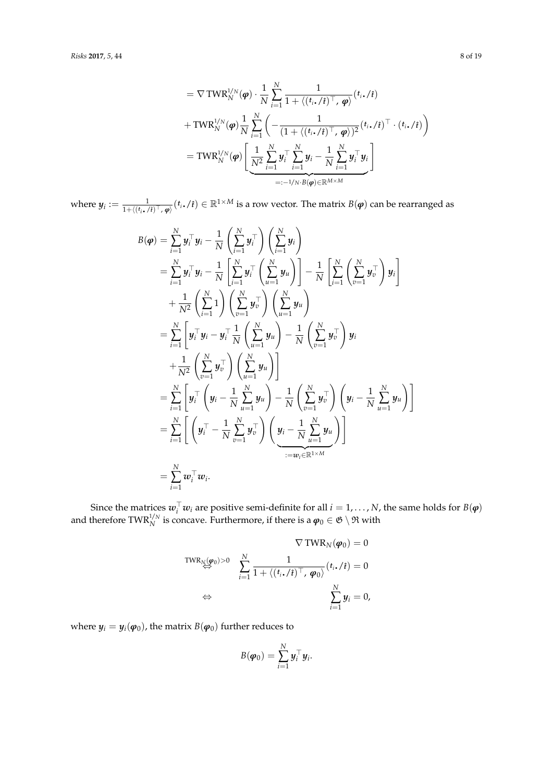$$
= \nabla \text{TWR}_{N}^{1/N}(\boldsymbol{\varphi}) \cdot \frac{1}{N} \sum_{i=1}^{N} \frac{1}{1 + \langle (t_{i} \cdot / \hat{\imath})^{\top}, \boldsymbol{\varphi} \rangle} (t_{i} \cdot / \hat{\imath})
$$
  
+ 
$$
\text{TWR}_{N}^{1/N}(\boldsymbol{\varphi}) \frac{1}{N} \sum_{i=1}^{N} \left( -\frac{1}{(1 + \langle (t_{i} \cdot / \hat{\imath})^{\top}, \boldsymbol{\varphi} \rangle)^{2}} (t_{i} \cdot / \hat{\imath})^{\top} \cdot (t_{i} \cdot / \hat{\imath}) \right)
$$
  
= 
$$
\text{TWR}_{N}^{1/N}(\boldsymbol{\varphi}) \left[ \underbrace{\frac{1}{N^{2}} \sum_{i=1}^{N} y_{i}^{\top} \sum_{i=1}^{N} y_{i} - \frac{1}{N} \sum_{i=1}^{N} y_{i}^{\top} y_{i}}_{=: -1/N \cdot B(\boldsymbol{\varphi}) \in \mathbb{R}^{M \times M}} \right]
$$

where  $y_i := \frac{1}{1 + \langle (t_i, t)^{\top}, \varphi \rangle} (t_i, t_i) \in \mathbb{R}^{1 \times M}$  is a row vector. The matrix  $B(\varphi)$  can be rearranged as

$$
B(\varphi) = \sum_{i=1}^{N} y_i^{\top} y_i - \frac{1}{N} \left( \sum_{i=1}^{N} y_i^{\top} \right) \left( \sum_{i=1}^{N} y_i \right)
$$
  
\n
$$
= \sum_{i=1}^{N} y_i^{\top} y_i - \frac{1}{N} \left[ \sum_{i=1}^{N} y_i^{\top} \left( \sum_{u=1}^{N} y_u \right) \right] - \frac{1}{N} \left[ \sum_{i=1}^{N} \left( \sum_{v=1}^{N} y_v^{\top} \right) y_i \right]
$$
  
\n
$$
+ \frac{1}{N^2} \left( \sum_{i=1}^{N} 1 \right) \left( \sum_{v=1}^{N} y_v^{\top} \right) \left( \sum_{u=1}^{N} y_u \right)
$$
  
\n
$$
= \sum_{i=1}^{N} \left[ y_i^{\top} y_i - y_i^{\top} \frac{1}{N} \left( \sum_{u=1}^{N} y_u \right) - \frac{1}{N} \left( \sum_{v=1}^{N} y_v^{\top} \right) y_i \right]
$$
  
\n
$$
+ \frac{1}{N^2} \left( \sum_{v=1}^{N} y_v^{\top} \right) \left( \sum_{u=1}^{N} y_u \right)
$$
  
\n
$$
= \sum_{i=1}^{N} \left[ y_i^{\top} \left( y_i - \frac{1}{N} \sum_{u=1}^{N} y_u \right) - \frac{1}{N} \left( \sum_{v=1}^{N} y_v^{\top} \right) \left( y_i - \frac{1}{N} \sum_{u=1}^{N} y_u \right) \right]
$$
  
\n
$$
= \sum_{i=1}^{N} \left[ \left( y_i^{\top} - \frac{1}{N} \sum_{v=1}^{N} y_v^{\top} \right) \left( y_i - \frac{1}{N} \sum_{u=1}^{N} y_u \right) \right]
$$
  
\n
$$
= \sum_{i=1}^{N} w_i^{\top} w_i.
$$

Since the matrices  $w_i^{\top} w_i$  are positive semi-definite for all  $i = 1, ..., N$ , the same holds for  $B(\varphi)$ and therefore TWR<sup>1/N</sup> is concave. Furthermore, if there is a  $\varphi_0 \in \mathfrak{G} \setminus \mathfrak{R}$  with

$$
\nabla \text{TWR}_{N}(\varphi_0) = 0
$$
  
\n
$$
\sum_{i=1}^{N} \frac{1}{1 + \langle (t_i, t_i)^\top, \varphi_0 \rangle} (t_i, t_i) = 0
$$
  
\n
$$
\Leftrightarrow \sum_{i=1}^{N} y_i = 0,
$$

where  $y_i = y_i(\varphi_0)$ , the matrix  $B(\varphi_0)$  further reduces to

$$
B(\boldsymbol{\varphi}_0) = \sum_{i=1}^N \boldsymbol{y}_i^\top \boldsymbol{y}_i.
$$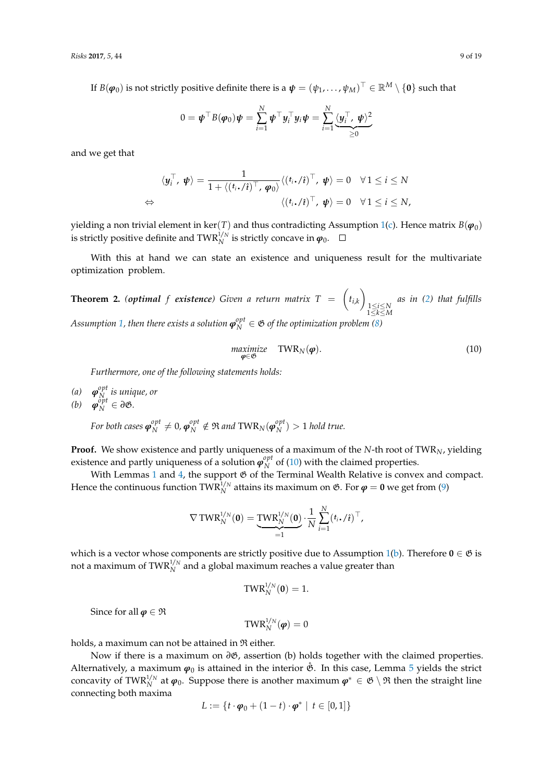If  $B(\bm{\varphi}_0)$  is not strictly positive definite there is a  $\bm{\psi}=(\psi_1,\ldots,\psi_M)^\top\in\mathbb{R}^M\setminus\{\bm{0}\}$  such that

$$
0 = \boldsymbol{\psi}^\top B(\boldsymbol{\varphi}_0) \boldsymbol{\psi} = \sum_{i=1}^N \boldsymbol{\psi}^\top \boldsymbol{y}_i^\top \boldsymbol{y}_i \boldsymbol{\psi} = \sum_{i=1}^N \langle \boldsymbol{y}_i^\top, \boldsymbol{\psi} \rangle^2 \geq 0
$$

and we get that

$$
\langle \mathbf{y}_i^{\top}, \mathbf{\psi} \rangle = \frac{1}{1 + \langle (t_i \cdot \hat{\mathbf{y}})^{\top}, \mathbf{\varphi}_0 \rangle} \langle (t_i \cdot \hat{\mathbf{y}})^{\top}, \mathbf{\psi} \rangle = 0 \quad \forall 1 \leq i \leq N
$$
  

$$
\Leftrightarrow \qquad \qquad \langle (t_i \cdot \hat{\mathbf{y}})^{\top}, \mathbf{\psi} \rangle = 0 \quad \forall 1 \leq i \leq N,
$$

yielding a non trivial element in ker(*T*) and thus contradicting Assumption [1](#page-4-1)[\(c\)](#page-5-0). Hence matrix  $B(\varphi_0)$ is strictly positive definite and  $\text{TWR}_N^{1/N}$  is strictly concave in  $\pmb{\varphi}_0$ .

With this at hand we can state an existence and uniqueness result for the multivariate optimization problem.

<span id="page-8-1"></span>**Theorem 2.** (optimal f existence) Given a return matrix  $T = \begin{pmatrix} t_{i,k} \end{pmatrix}$ 1≤*i*≤*N* 1≤*k*≤*M as in [\(2\)](#page-1-0) that fulfills* Assumption [1,](#page-4-1) then there exists a solution  $\boldsymbol{\varphi}_N^{opt} \in \mathfrak{G}$  of the optimization problem [\(8\)](#page-4-0)

<span id="page-8-0"></span>
$$
\underset{\boldsymbol{\varphi}\in\mathfrak{G}}{\text{maximize}}\quad\text{TWR}_N(\boldsymbol{\varphi}).\tag{10}
$$

*Furthermore, one of the following statements holds:*

- (*a*)  $\boldsymbol{\varphi}_N^{opt}$ *N is unique, or*
- $(b)$   $\varphi_N^{\delta pt} \in \partial \mathfrak{G}$ .

For both cases 
$$
\boldsymbol{\varphi}_N^{opt} \neq 0
$$
,  $\boldsymbol{\varphi}_N^{opt} \notin \mathfrak{R}$  and  $\text{TWR}_N(\boldsymbol{\varphi}_N^{opt}) > 1$  hold true.

**Proof.** We show existence and partly uniqueness of a maximum of the *N*-th root of TWR*N*, yielding existence and partly uniqueness of a solution  $\boldsymbol{\varphi}_N^{opt}$  $N<sub>N</sub>$  of [\(10\)](#page-8-0) with the claimed properties.

With Lemmas [1](#page-3-1) and [4,](#page-5-1) the support  $\mathfrak G$  of the Terminal Wealth Relative is convex and compact. Hence the continuous function  $TWR_N^{1/N}$  attains its maximum on  $\mathfrak{G}$ . For  $\boldsymbol{\varphi} = \mathbf{0}$  we get from [\(9\)](#page-6-1)

$$
\nabla \text{TWR}_{N}^{1/N}(\mathbf{0}) = \underbrace{\text{TWR}_{N}^{1/N}(\mathbf{0})}_{=1} \cdot \frac{1}{N} \sum_{i=1}^{N} (t_i \cdot / \hat{\mathbf{t}})^{\top},
$$

which is a vector whose components are strictly positive due to Assumption [1\(](#page-4-1)[b\)](#page-4-4). Therefore  $0 \in \mathfrak{G}$  is not a maximum of  $\text{TWR}_N^{1/N}$  and a global maximum reaches a value greater than

$$
\text{TWR}_N^{1/N}(\mathbf{0})=1.
$$

Since for all  $\varphi \in \mathfrak{R}$ 

$$
\text{TWR}_N^{1/N}(\boldsymbol{\varphi})=0
$$

holds, a maximum can not be attained in  $Re$  either.

Now if there is a maximum on ∂*G*, assertion (b) holds together with the claimed properties. Alternatively, a maximum  $\varphi_0$  is attained in the interior  $\mathring{\mathfrak{G}}$ . In this case, Lemma [5](#page-6-0) yields the strict concavity of TWR<sup>1/N</sup> at  $\varphi_0$ . Suppose there is another maximum  $\varphi^* \in \mathfrak{G} \setminus \mathfrak{R}$  then the straight line connecting both maxima

$$
L := \{ t \cdot \boldsymbol{\varphi}_0 + (1-t) \cdot \boldsymbol{\varphi}^* \mid t \in [0,1] \}
$$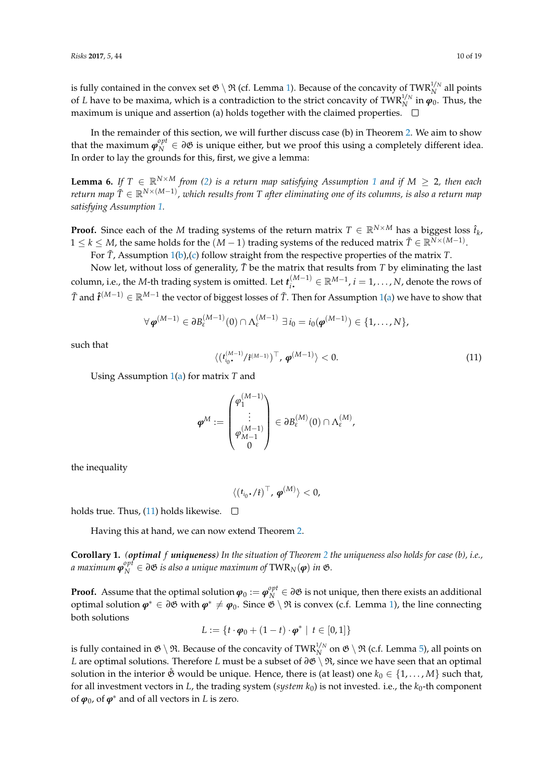is fully contained in the convex set  $\mathfrak{G} \setminus \mathfrak{R}$  (cf. Lemma [1\)](#page-3-1). Because of the concavity of TWR<sup>1/*N*</sup> all points of *L* have to be maxima, which is a contradiction to the strict concavity of TWR<sup>1/N</sup> in  $\varphi_0$ . Thus, the maximum is unique and assertion (a) holds together with the claimed properties.  $\Box$ 

In the remainder of this section, we will further discuss case (b) in Theorem [2.](#page-8-1) We aim to show that the maximum  $\boldsymbol{\varphi}_N^{opt} \in \partial \mathfrak{G}$  is unique either, but we proof this using a completely different idea. In order to lay the grounds for this, first, we give a lemma:

<span id="page-9-1"></span>**Lemma 6.** If  $T \in \mathbb{R}^{N \times M}$  from [\(2\)](#page-1-0) is a return map satisfying Assumption [1](#page-4-1) and if  $M \geq 2$ , then each *return map T*˜ ∈ R*N*×(*M*−1) *, which results from T after eliminating one of its columns, is also a return map satisfying Assumption [1.](#page-4-1)*

**Proof.** Since each of the *M* trading systems of the return matrix  $T \in \mathbb{R}^{N \times M}$  has a biggest loss  $\hat{t}_k$ ,  $1 \le k \le M$ , the same holds for the  $(M-1)$  trading systems of the reduced matrix  $\tilde{T} \in \mathbb{R}^{N \times (M-1)}$ .

For *T*˜, Assumption [1\(](#page-4-1)[b\)](#page-4-4),[\(c\)](#page-5-0) follow straight from the respective properties of the matrix *T*.

Now let, without loss of generality,  $\tilde{T}$  be the matrix that results from  $T$  by eliminating the last column, i.e., the *M*-th trading system is omitted. Let  $t_i^{(M-1)}$  $\mathbb{R}^{(M-1)} \in \mathbb{R}^{M-1}$ ,  $i = 1, \ldots, N$ , denote the rows of  $\tilde{T}$  and  $\hat{t}^{(M-1)} \in \mathbb{R}^{M-1}$  the vector of biggest losses of  $\tilde{T}$ . Then for Assumption [1\(](#page-4-1)[a\)](#page-4-3) we have to show that

$$
\forall \boldsymbol{\varphi}^{(M-1)} \in \partial B_{\varepsilon}^{(M-1)}(0) \cap \Lambda_{\varepsilon}^{(M-1)} \ \exists \ i_0 = i_0(\boldsymbol{\varphi}^{(M-1)}) \in \{1,\ldots,N\},\
$$

such that

<span id="page-9-0"></span>
$$
\langle (t_{i_0}^{(M-1)}/\hat{t}^{(M-1)})^{\top}, \boldsymbol{\varphi}^{(M-1)} \rangle < 0. \tag{11}
$$

Using Assumption [1](#page-4-1)[\(a\)](#page-4-3) for matrix *T* and

$$
\boldsymbol{\varphi}^M := \begin{pmatrix} \varphi_1^{(M-1)} \\ \vdots \\ \varphi_{M-1}^{(M-1)} \\ 0 \end{pmatrix} \in \partial B^{(M)}_{\varepsilon}(0) \cap \Lambda_{\varepsilon}^{(M)},
$$

the inequality

$$
\langle (t_{i_0} \cdot / \hat{t})^{\top}, \boldsymbol{\varphi}^{(M)} \rangle < 0,
$$

holds true. Thus, [\(11\)](#page-9-0) holds likewise.  $\square$ 

Having this at hand, we can now extend Theorem [2.](#page-8-1)

<span id="page-9-2"></span>**Corollary 1.** *(optimal f uniqueness) In the situation of Theorem [2](#page-8-1) the uniqueness also holds for case (b), i.e.,*  $a$  maximum  $\boldsymbol{\varphi}_N^{opt} \in \partial \mathfrak{G}$  is also a unique maximum of  $\text{TWR}_N(\boldsymbol{\varphi})$  in  $\mathfrak{G}.$ 

**Proof.** Assume that the optimal solution  $\varphi_0 := \varphi_N^{opt} \in \partial \mathfrak{G}$  is not unique, then there exists an additional optimal solution  $\varphi^* \in \partial \mathfrak{G}$  with  $\varphi^* \neq \varphi_0$ . Since  $\mathfrak{G} \setminus \mathfrak{R}$  is convex (c.f. Lemma [1\)](#page-3-1), the line connecting both solutions

$$
L := \{ t \cdot \boldsymbol{\varphi}_0 + (1-t) \cdot \boldsymbol{\varphi}^* \mid t \in [0,1] \}
$$

is fully contained in  $\mathfrak{G}\setminus\mathfrak{R}$ . Because of the concavity of TWR $_N^{1/n}$  on  $\mathfrak{G}\setminus\mathfrak{R}$  (c.f. Lemma [5\)](#page-6-0), all points on *L* are optimal solutions. Therefore *L* must be a subset of  $\partial \mathfrak{G} \setminus \mathfrak{R}$ , since we have seen that an optimal solution in the interior  $\mathring{\mathfrak{G}}$  would be unique. Hence, there is (at least) one  $k_0 \in \{1, \ldots, M\}$  such that, for all investment vectors in *L*, the trading system (*system k*<sub>0</sub>) is not invested. i.e., the *k*<sub>0</sub>-th component of  $\varphi_0$ , of  $\varphi^*$  and of all vectors in *L* is zero.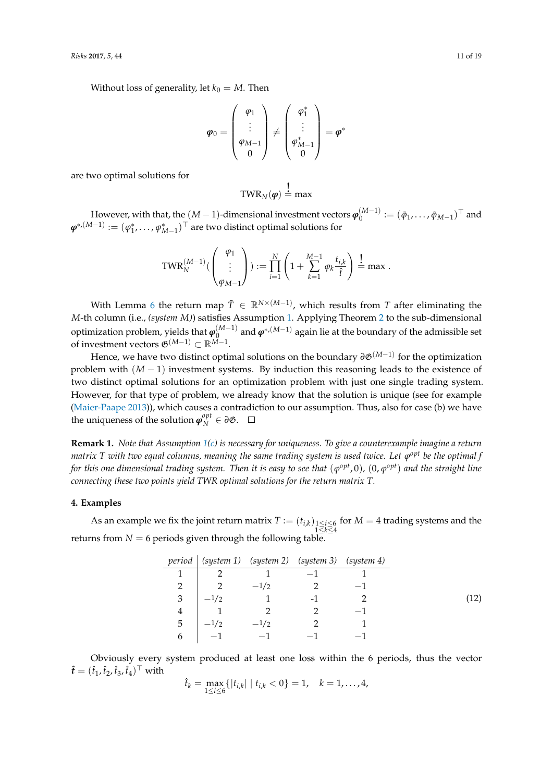Without loss of generality, let  $k_0 = M$ . Then

$$
\boldsymbol{\varphi}_0 = \begin{pmatrix} \varphi_1 \\ \vdots \\ \varphi_{M-1} \\ 0 \end{pmatrix} \neq \begin{pmatrix} \varphi_1^* \\ \vdots \\ \varphi_{M-1}^* \\ 0 \end{pmatrix} = \boldsymbol{\varphi}^*
$$

are two optimal solutions for

$$
TWR_N(\boldsymbol{\varphi})\stackrel{!}{=} \max
$$

However, with that, the  $(M-1)$ -dimensional investment vectors  $\boldsymbol{\varphi}_0^{(M-1)}$  $\binom{(M-1)}{0} := (\tilde{\varphi}_1, \ldots, \tilde{\varphi}_{M-1})^{\top}$  and  $\bm{\varphi}^{*,(M-1)}:=(\varphi_1^*,\ldots,\varphi_{M-1}^*)^\top$  are two distinct optimal solutions for

$$
\text{TWR}_N^{(M-1)}\begin{pmatrix} \varphi_1 \\ \vdots \\ \varphi_{M-1} \end{pmatrix} := \prod_{i=1}^N \left(1 + \sum_{k=1}^{M-1} \varphi_k \frac{t_{i,k}}{\hat{t}}\right) \stackrel{!}{=} \max.
$$

With Lemma [6](#page-9-1) the return map  $\tilde{T} \in \mathbb{R}^{N \times (M-1)}$ , which results from *T* after eliminating the *M*-th column (i.e., *(system M)*) satisfies Assumption [1.](#page-4-1) Applying Theorem [2](#page-8-1) to the sub-dimensional optimization problem, yields that *ϕ* (*M*−1) and *ϕ*∗,(*M*−1) again lie at the boundary of the admissible set  $\Phi_0$  of investment vectors  $\mathfrak{G}^{(M-1)}$  ⊂  $\mathbb{R}^{M-1}$ .

Hence, we have two distinct optimal solutions on the boundary  $\partial \mathfrak{G}^{(M-1)}$  for the optimization problem with (*M* − 1) investment systems. By induction this reasoning leads to the existence of two distinct optimal solutions for an optimization problem with just one single trading system. However, for that type of problem, we already know that the solution is unique (see for example [\(Maier-Paape](#page-17-6) [2013\)](#page-17-6)), which causes a contradiction to our assumption. Thus, also for case (b) we have the uniqueness of the solution  $\boldsymbol{\varphi}_N^{opt} \in \partial \mathfrak{G}$ .

**Remark 1.** *Note that Assumption [1\(](#page-4-1)[c\)](#page-5-0) is necessary for uniqueness. To give a counterexample imagine a return matrix T with two equal columns, meaning the same trading system is used twice. Let*  $\varphi^{opt}$  *be the optimal f for this one dimensional trading system. Then it is easy to see that*  $(\varphi^{opt},0)$ *,*  $(0,\varphi^{opt})$  *and the straight line connecting these two points yield TWR optimal solutions for the return matrix T.*

## <span id="page-10-0"></span>**4. Examples**

As an example we fix the joint return matrix  $T := (t_{i,k})_{\substack{1 \leq i \leq 6 \\ 1 \leq k \leq 4}}$ for  $M = 4$  trading systems and the returns from  $N = 6$  periods given through the following table.

<span id="page-10-1"></span>

|   |                |                | period   (system 1) (system 2) (system 3) (system 4) |  |
|---|----------------|----------------|------------------------------------------------------|--|
|   | $\mathcal{D}$  |                | $-1$                                                 |  |
|   | $\overline{2}$ | $-1/2$         |                                                      |  |
| 3 | $-1/2$         | $\overline{1}$ |                                                      |  |
|   |                | $\mathcal{D}$  |                                                      |  |
| 5 | $-1/2$         | $-1/2$         |                                                      |  |
|   | $-1$           | $-1$           |                                                      |  |

Obviously every system produced at least one loss within the 6 periods, thus the vector  $\hat{\boldsymbol{t}} = (\hat{t}_1, \hat{t}_2, \hat{t}_3, \hat{t}_4)^\top$  with

$$
\hat{t}_k = \max_{1 \le i \le 6} \{|t_{i,k}| \mid t_{i,k} < 0\} = 1, \quad k = 1, \ldots, 4,
$$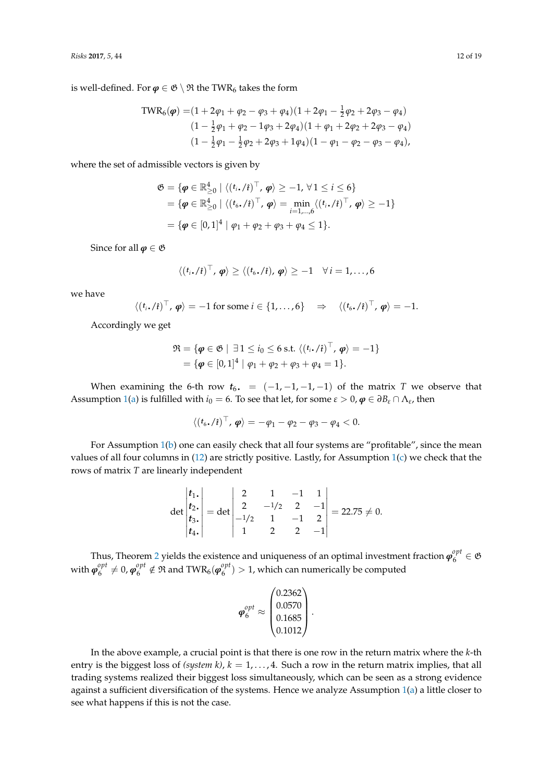is well-defined. For  $\varphi \in \mathfrak{G} \setminus \mathfrak{R}$  the TWR<sub>6</sub> takes the form

TWR<sub>6</sub>(
$$
\varphi
$$
) = (1 + 2 $\varphi$ <sub>1</sub> +  $\varphi$ <sub>2</sub> -  $\varphi$ <sub>3</sub> +  $\varphi$ <sub>4</sub>)(1 + 2 $\varphi$ <sub>1</sub> -  $\frac{1}{2}$  $\varphi$ <sub>2</sub> + 2 $\varphi$ <sub>3</sub> -  $\varphi$ <sub>4</sub>)  
\n(1 -  $\frac{1}{2}$  $\varphi$ <sub>1</sub> +  $\varphi$ <sub>2</sub> - 1 $\varphi$ <sub>3</sub> + 2 $\varphi$ <sub>4</sub>)(1 +  $\varphi$ <sub>1</sub> + 2 $\varphi$ <sub>2</sub> + 2 $\varphi$ <sub>3</sub> -  $\varphi$ <sub>4</sub>)  
\n(1 -  $\frac{1}{2}$  $\varphi$ <sub>1</sub> -  $\frac{1}{2}$  $\varphi$ <sub>2</sub> + 2 $\varphi$ <sub>3</sub> + 1 $\varphi$ <sub>4</sub>)(1 -  $\varphi$ <sub>1</sub> -  $\varphi$ <sub>2</sub> -  $\varphi$ <sub>3</sub> -  $\varphi$ <sub>4</sub>),

where the set of admissible vectors is given by

$$
\mathfrak{G} = \{ \boldsymbol{\varphi} \in \mathbb{R}_{\geq 0}^4 \mid \langle (t_i, t_i)^{\top}, \boldsymbol{\varphi} \rangle \geq -1, \forall 1 \leq i \leq 6 \}
$$
  
=  $\{ \boldsymbol{\varphi} \in \mathbb{R}_{\geq 0}^4 \mid \langle (t_6, t_i)^{\top}, \boldsymbol{\varphi} \rangle = \min_{i=1,...,6} \langle (t_i, t_i)^{\top}, \boldsymbol{\varphi} \rangle \geq -1 \}$   
=  $\{ \boldsymbol{\varphi} \in [0, 1]^4 \mid \varphi_1 + \varphi_2 + \varphi_3 + \varphi_4 \leq 1 \}.$ 

Since for all  $\varphi \in \mathfrak{G}$ 

$$
\langle (t_i,\ell_i)^\top,\boldsymbol{\varphi}\rangle\geq \langle (t_6,\ell_i),\boldsymbol{\varphi}\rangle\geq -1\quad\forall\,i=1,\ldots,6
$$

we have

$$
\langle (t_i, t)^{\top}, \boldsymbol{\varphi} \rangle = -1
$$
 for some  $i \in \{1, ..., 6\}$   $\Rightarrow \langle (t_6, t)^\top, \boldsymbol{\varphi} \rangle = -1$ .

Accordingly we get

$$
\mathfrak{R} = \{ \boldsymbol{\varphi} \in \mathfrak{G} \mid \exists 1 \leq i_0 \leq 6 \text{ s.t. } \langle (t_i \cdot \ell i)^\top, \boldsymbol{\varphi} \rangle = -1 \} \\ = \{ \boldsymbol{\varphi} \in [0,1]^4 \mid \varphi_1 + \varphi_2 + \varphi_3 + \varphi_4 = 1 \}.
$$

When examining the 6-th row  $t_6$ . =  $(-1, -1, -1, -1)$  of the matrix *T* we observe that Assumption [1](#page-4-1)[\(a\)](#page-4-3) is fulfilled with  $i_0 = 6$ . To see that let, for some  $\varepsilon > 0$ ,  $\varphi \in \partial B_\varepsilon \cap \Lambda_\varepsilon$ , then

$$
\langle (t_6\boldsymbol{.}/\hat{t})^\top, \boldsymbol{\varphi} \rangle = -\varphi_1 - \varphi_2 - \varphi_3 - \varphi_4 < 0.
$$

For Assumption  $1(b)$  $1(b)$  one can easily check that all four systems are "profitable", since the mean values of all four columns in  $(12)$  are strictly positive. Lastly, for Assumption  $1(c)$  $1(c)$  we check that the rows of matrix *T* are linearly independent

$$
\det\begin{vmatrix} t_1, \\ t_2, \\ t_3, \\ t_4, \end{vmatrix} = \det\begin{vmatrix} 2 & 1 & -1 & 1 \\ 2 & -1/2 & 2 & -1 \\ -1/2 & 1 & -1 & 2 \\ 1 & 2 & 2 & -1 \end{vmatrix} = 22.75 \neq 0.
$$

Thus, Theorem [2](#page-8-1) yields the existence and uniqueness of an optimal investment fraction  $\boldsymbol{\varphi}_6^{opt} \in \mathfrak{G}$ with  $\pmb{\varphi}^{opt}_6$  $\theta_6^{opt} \neq 0$ ,  $\boldsymbol{\varphi}_6^{opt} \notin \Re$  and  $\text{TWR}_6(\boldsymbol{\varphi}_6^{opt})$  $\binom{6}{6}$  > 1, which can numerically be computed

$$
\varphi_6^{opt} \approx \begin{pmatrix} 0.2362 \\ 0.0570 \\ 0.1685 \\ 0.1012 \end{pmatrix}.
$$

In the above example, a crucial point is that there is one row in the return matrix where the *k*-th entry is the biggest loss of *(system k)*,  $k = 1, \ldots, 4$ . Such a row in the return matrix implies, that all trading systems realized their biggest loss simultaneously, which can be seen as a strong evidence against a sufficient diversification of the systems. Hence we analyze Assumption [1](#page-4-1)[\(a\)](#page-4-3) a little closer to see what happens if this is not the case.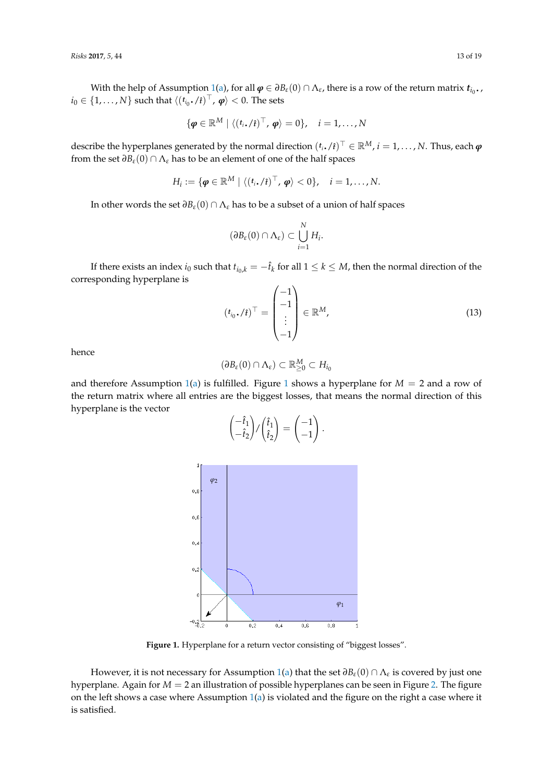With the help of Assumption [1\(](#page-4-1)[a\)](#page-4-3), for all  $\varphi \in \partial B_{\varepsilon}(0) \cap \Lambda_{\varepsilon}$ , there is a row of the return matrix  $t_{i_0}$ ,  $i_0 \in \{1, \ldots, N\}$  such that  $\langle (t_{i_0} \cdot / t)^{\top}, \varphi \rangle < 0$ . The sets

$$
\{\boldsymbol{\varphi} \in \mathbb{R}^M \mid \langle (t_i, f)^\top, \boldsymbol{\varphi} \rangle = 0 \}, \quad i = 1, \ldots, N
$$

describe the hyperplanes generated by the normal direction  $(t_i, t_f)^\top \in \mathbb{R}^M$ ,  $i = 1, ..., N$ . Thus, each  $\varphi$ from the set  $\partial B_{\varepsilon}(0) \cap \Lambda_{\varepsilon}$  has to be an element of one of the half spaces

$$
H_i := \{ \boldsymbol{\varphi} \in \mathbb{R}^M \mid \langle (t_i, t)^\top, \boldsymbol{\varphi} \rangle < 0 \}, \quad i = 1, \ldots, N.
$$

In other words the set *∂Bε*(0) ∩ Λ*<sup>ε</sup>* has to be a subset of a union of half spaces

$$
(\partial B_{\varepsilon}(0) \cap \Lambda_{\varepsilon}) \subset \bigcup_{i=1}^N H_i.
$$

If there exists an index  $i_0$  such that  $t_{i_0,k} = -\hat{t}_k$  for all  $1 \leq k \leq M$ , then the normal direction of the corresponding hyperplane is

$$
(t_{i_0} \cdot / \hat{t})^{\top} = \begin{pmatrix} -1 \\ -1 \\ \vdots \\ -1 \end{pmatrix} \in \mathbb{R}^M,
$$
 (13)

hence

$$
(\partial B_{\varepsilon}(0) \cap \Lambda_{\varepsilon}) \subset \mathbb{R}_{\geq 0}^M \subset H_{i_0}
$$

<span id="page-12-0"></span>and therefore Assumption [1](#page-12-0)[\(a\)](#page-4-3) is fulfilled. Figure 1 shows a hyperplane for  $M = 2$  and a row of the return matrix where all entries are the biggest losses, that means the normal direction of this hyperplane is the vector

$$
\begin{pmatrix} -\hat{t}_1 \\ -\hat{t}_2 \end{pmatrix} / \begin{pmatrix} \hat{t}_1 \\ \hat{t}_2 \end{pmatrix} = \begin{pmatrix} -1 \\ -1 \end{pmatrix}.
$$

Figure 1. Hyperplane for a return vector consisting of "biggest losses".

However, it is not necessary for Assumption [1](#page-4-1)[\(a\)](#page-4-3) that the set *∂Bε*(0) ∩ Λ*<sup>ε</sup>* is covered by just one hyperplane. Again for *M* = 2 an illustration of possible hyperplanes can be seen in Figure [2.](#page-13-0) The figure on the left shows a case where Assumption [1](#page-4-1)[\(a\)](#page-4-3) is violated and the figure on the right a case where it is satisfied.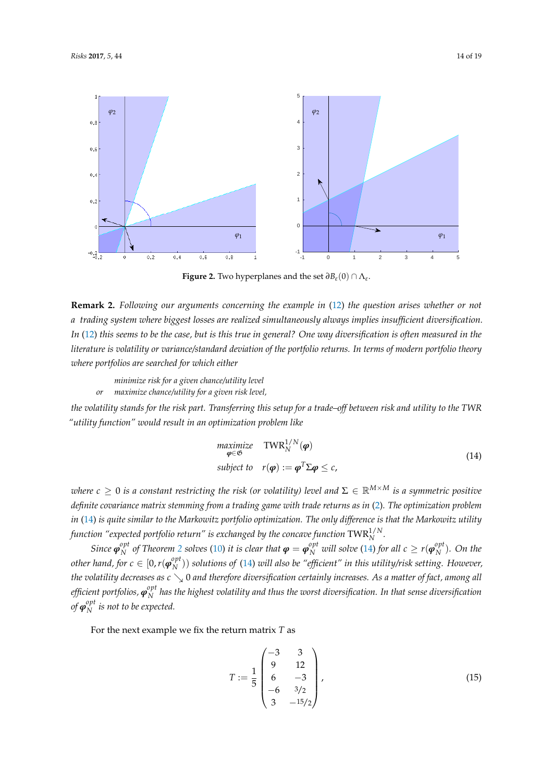<span id="page-13-0"></span>

**Figure 2.** Two hyperplanes and the set *∂Bε*(0) ∩ Λ*<sup>ε</sup>* .

**Remark 2.** *Following our arguments concerning the example in* [\(12\)](#page-10-1) *the question arises whether or not a trading system where biggest losses are realized simultaneously always implies insufficient diversification. In* [\(12\)](#page-10-1) *this seems to be the case, but is this true in general? One way diversification is often measured in the literature is volatility or variance/standard deviation of the portfolio returns. In terms of modern portfolio theory where portfolios are searched for which either*

*minimize risk for a given chance/utility level or maximize chance/utility for a given risk level,*

*the volatility stands for the risk part. Transferring this setup for a trade–off between risk and utility to the TWR "utility function" would result in an optimization problem like*

<span id="page-13-1"></span>
$$
\begin{array}{ll}\n\text{maximize} & \text{TWR}_N^{1/N}(\boldsymbol{\varphi}) \\
\text{subject to} & r(\boldsymbol{\varphi}) := \boldsymbol{\varphi}^T \boldsymbol{\Sigma} \boldsymbol{\varphi} \leq c,\n\end{array} \tag{14}
$$

*where*  $c \geq 0$  *is a constant restricting the risk (or volatility) level and*  $\Sigma \in \mathbb{R}^{M \times M}$  *is a symmetric positive definite covariance matrix stemming from a trading game with trade returns as in* [\(2\)](#page-1-0)*. The optimization problem in* [\(14\)](#page-13-1) *is quite similar to the Markowitz portfolio optimization. The only difference is that the Markowitz utility function "expected portfolio return" is exchanged by the concave function*  $\text{TWR}_N^{1/N}$ *.* 

*Since ϕ opt*  $N$ <sup>*opt*</sup> *of Theorem [2](#page-8-1) solves* [\(10\)](#page-8-0) *it is clear that*  $\bm{\varphi} = \bm{\varphi}_N^{opt}$  *will solve* [\(14\)](#page-13-1) *for all*  $c \geq r(\bm{\varphi}_N^{opt})$  $_N^{\nu\mu}$ ). On the *other hand, for*  $c \in [0, r(\boldsymbol{\varphi}_N^{opt}$ *N* )) *solutions of* [\(14\)](#page-13-1) *will also be "efficient" in this utility/risk setting. However, the volatility decreases as*  $c \searrow 0$  *and therefore diversification certainly increases. As a matter of fact, among all efficient portfolios, ϕ opt N has the highest volatility and thus the worst diversification. In that sense diversification*  $of$   $\boldsymbol{\varphi}_N^{opt}$  $N<sup>opt</sup>$  is not to be expected.

For the next example we fix the return matrix *T* as

<span id="page-13-2"></span>
$$
T := \frac{1}{5} \begin{pmatrix} -3 & 3 \\ 9 & 12 \\ 6 & -3 \\ -6 & 3/2 \\ 3 & -15/2 \end{pmatrix},
$$
(15)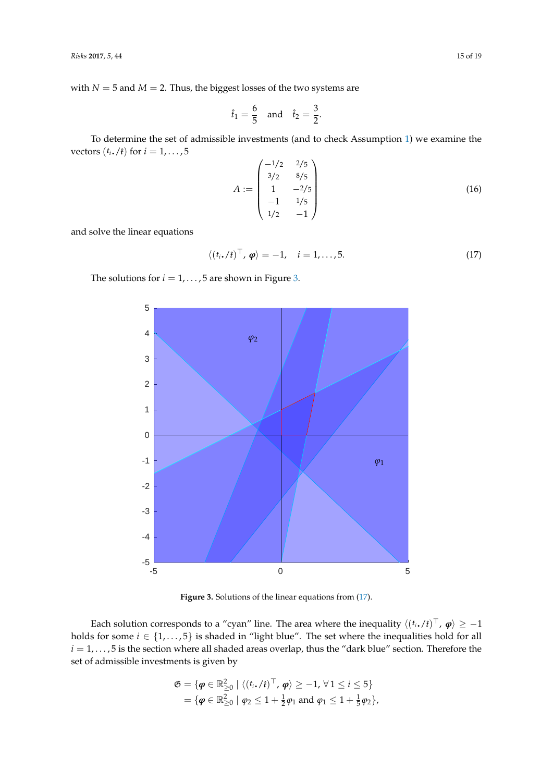with  $N = 5$  and  $M = 2$ . Thus, the biggest losses of the two systems are

$$
\hat{t}_1 = \frac{6}{5}
$$
 and  $\hat{t}_2 = \frac{3}{2}$ .

To determine the set of admissible investments (and to check Assumption [1\)](#page-4-1) we examine the vectors  $(t_i \cdot / \hat{t})$  for  $i = 1, \ldots, 5$ 

<span id="page-14-2"></span>
$$
A := \begin{pmatrix} -1/2 & 2/5 \\ 3/2 & 8/5 \\ 1 & -2/5 \\ -1 & 1/5 \\ 1/2 & -1 \end{pmatrix}
$$
 (16)

and solve the linear equations

<span id="page-14-1"></span>
$$
\langle (t_i, t)^{\top}, \boldsymbol{\varphi} \rangle = -1, \quad i = 1, \dots, 5. \tag{17}
$$

<span id="page-14-0"></span>The solutions for  $i = 1, \ldots, 5$  are shown in Figure [3.](#page-14-0)



Each solution corresponds to a "cyan" line. The area where the inequality  $\langle (t_i, f)^\top, \varphi \rangle \ge -1$ holds for some  $i \in \{1, \ldots, 5\}$  is shaded in "light blue". The set where the inequalities hold for all  $i = 1, \ldots, 5$  is the section where all shaded areas overlap, thus the "dark blue" section. Therefore the set of admissible investments is given by

$$
\mathfrak{G} = \{ \boldsymbol{\varphi} \in \mathbb{R}_{\geq 0}^2 \mid \langle (t_i, f_i)^\top, \boldsymbol{\varphi} \rangle \geq -1, \forall 1 \leq i \leq 5 \}
$$
  
=  $\{ \boldsymbol{\varphi} \in \mathbb{R}_{\geq 0}^2 \mid \varphi_2 \leq 1 + \frac{1}{2} \varphi_1 \text{ and } \varphi_1 \leq 1 + \frac{1}{5} \varphi_2 \},$ 

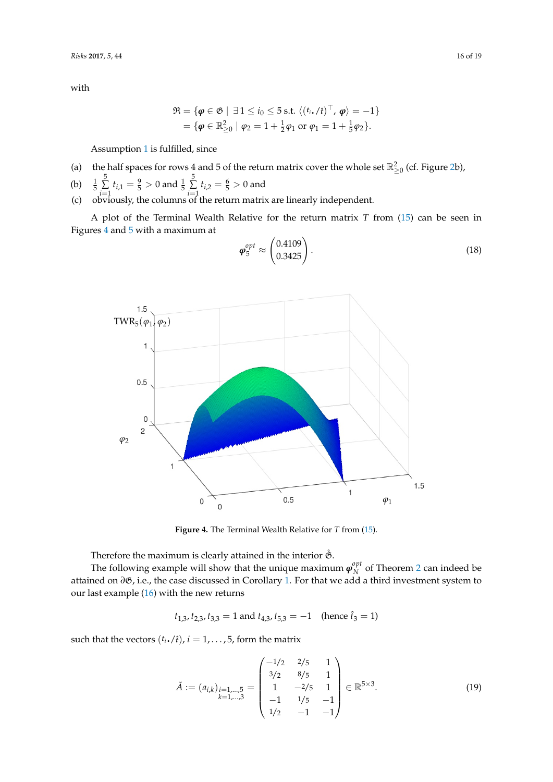with

$$
\mathfrak{R} = \{ \boldsymbol{\varphi} \in \mathfrak{G} \mid \exists 1 \leq i_0 \leq 5 \text{ s.t. } \langle (t_i, \ell_i)^\top, \boldsymbol{\varphi} \rangle = -1 \} = \{ \boldsymbol{\varphi} \in \mathbb{R}^2_{\geq 0} \mid \varphi_2 = 1 + \frac{1}{2} \varphi_1 \text{ or } \varphi_1 = 1 + \frac{1}{5} \varphi_2 \}.
$$

Assumption [1](#page-4-1) is fulfilled, since

(a) the half spaces for rows 4 and 5 of the return matrix cover the whole set  $\mathbb{R}^2_{\geq 0}$  (cf. Figure [2b](#page-13-0)),

(b) 
$$
\frac{1}{5} \sum_{i=1}^{5} t_{i,1} = \frac{9}{5} > 0
$$
 and  $\frac{1}{5} \sum_{i=1}^{5} t_{i,2} = \frac{6}{5} > 0$  and

(c) obviously, the columns of the return matrix are linearly independent.

A plot of the Terminal Wealth Relative for the return matrix *T* from [\(15\)](#page-13-2) can be seen in Figures [4](#page-15-0) and [5](#page-16-0) with a maximum at

<span id="page-15-0"></span>TWR<sub>5</sub>(
$$
\varphi_1
$$
) $\varphi_2$ )  
\n1  
\n0.5  
\n0.5  
\n0.5  
\n1  
\n0.5  
\n1.5  
\n1.5

<span id="page-15-1"></span>
$$
\boldsymbol{\varphi}_5^{opt} \approx \begin{pmatrix} 0.4109 \\ 0.3425 \end{pmatrix} . \tag{18}
$$

**Figure 4.** The Terminal Wealth Relative for *T* from [\(15\)](#page-13-2).

Therefore the maximum is clearly attained in the interior  $\mathring{\mathfrak{G}}$ .

The following example will show that the unique maximum  $\pmb{\varphi}_N^{opt}$  $N \atop N$  of Theorem [2](#page-8-1) can indeed be attained on  $\partial\mathfrak{G}$ , i.e., the case discussed in Corollary [1.](#page-9-2) For that we add a third investment system to our last example [\(16\)](#page-14-2) with the new returns

$$
t_{1,3}, t_{2,3}, t_{3,3} = 1
$$
 and  $t_{4,3}, t_{5,3} = -1$  (hence  $\hat{t}_3 = 1$ )

such that the vectors  $(t_i \cdot / i)$ ,  $i = 1, \ldots, 5$ , form the matrix

<span id="page-15-2"></span>
$$
\tilde{A} := (a_{i,k})_{\substack{i=1,\dots,5 \\ k=1,\dots,3}} = \begin{pmatrix} -1/2 & 2/5 & 1 \\ 3/2 & 8/5 & 1 \\ 1 & -2/5 & 1 \\ -1 & 1/5 & -1 \\ 1/2 & -1 & -1 \end{pmatrix} \in \mathbb{R}^{5 \times 3}.
$$
 (19)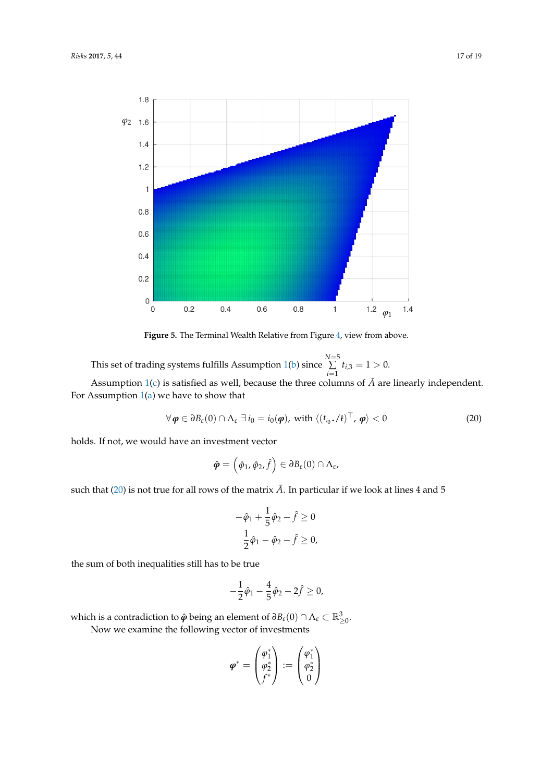<span id="page-16-0"></span>

**Figure 5.** The Terminal Wealth Relative from Figure [4,](#page-15-0) view from above.

This set of trading systems fulfills Assumption [1](#page-4-1)[\(b\)](#page-4-4) since *N*=5 ∑  $\sum_{i=1}$   $t_{i,3} = 1 > 0.$ 

Assumption  $1(c)$  $1(c)$  is satisfied as well, because the three columns of  $\tilde{A}$  are linearly independent. For Assumption  $1(a)$  $1(a)$  we have to show that

<span id="page-16-1"></span>
$$
\forall \boldsymbol{\varphi} \in \partial B_{\varepsilon}(0) \cap \Lambda_{\varepsilon} \exists i_0 = i_0(\boldsymbol{\varphi}), \text{ with } \langle (t_{i_0}.f)^\top, \boldsymbol{\varphi} \rangle < 0 \tag{20}
$$

holds. If not, we would have an investment vector

$$
\hat{\boldsymbol{\varphi}} = \left(\hat{\varphi}_1, \hat{\varphi}_2, \hat{f}\right) \in \partial B_{\varepsilon}(0) \cap \Lambda_{\varepsilon},
$$

such that [\(20\)](#page-16-1) is not true for all rows of the matrix  $\tilde{A}$ . In particular if we look at lines 4 and 5

$$
-\hat{\varphi}_1 + \frac{1}{5}\hat{\varphi}_2 - \hat{f} \ge 0
$$
  

$$
\frac{1}{2}\hat{\varphi}_1 - \hat{\varphi}_2 - \hat{f} \ge 0,
$$

the sum of both inequalities still has to be true

$$
-\frac{1}{2}\hat{\varphi}_1 - \frac{4}{5}\hat{\varphi}_2 - 2\hat{f} \ge 0,
$$

which is a contradiction to  $\hat{\boldsymbol{\varphi}}$  being an element of  $\partial B_{\varepsilon}(0) \cap \Lambda_{\varepsilon} \subset \mathbb{R}^3_{\geq 0}$ .

Now we examine the following vector of investments

$$
\boldsymbol{\varphi}^* = \begin{pmatrix} \varphi_1^* \\ \varphi_2^* \\ f^* \end{pmatrix} := \begin{pmatrix} \varphi_1^* \\ \varphi_2^* \\ 0 \end{pmatrix}
$$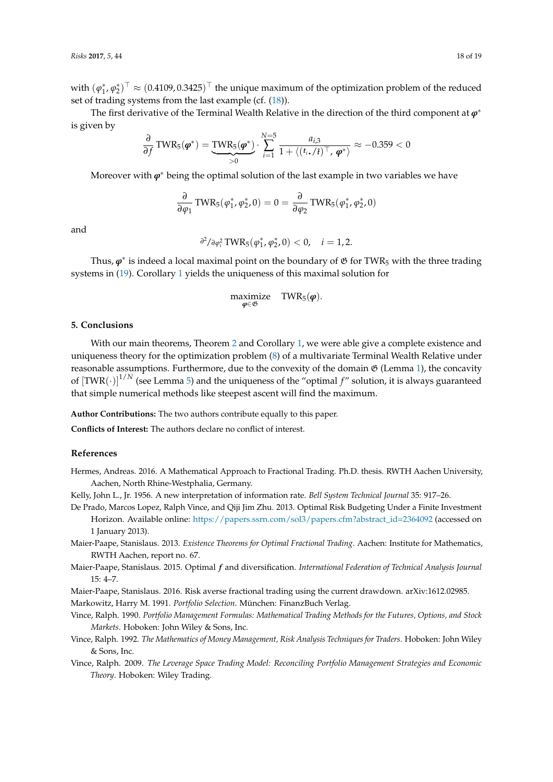with  $(\varphi_1^*, \varphi_2^*)^\top \approx (0.4109, 0.3425)^\top$  the unique maximum of the optimization problem of the reduced set of trading systems from the last example (cf.  $(18)$ ).

The first derivative of the Terminal Wealth Relative in the direction of the third component at *ϕ*<sup>∗</sup> is given by

$$
\frac{\partial}{\partial f} \text{TWR}_5(\boldsymbol{\varphi}^*) = \underbrace{\text{TWR}_5(\boldsymbol{\varphi}^*)}_{>0} \cdot \sum_{i=1}^{N=5} \frac{a_{i,3}}{1 + \langle (t_i, f_i)^\top, \boldsymbol{\varphi}^* \rangle} \approx -0.359 < 0
$$

Moreover with *ϕ*<sup>∗</sup> being the optimal solution of the last example in two variables we have

$$
\frac{\partial}{\partial \varphi_1}\, \text{TWR}_5(\varphi_1^*, \varphi_2^*, 0) = 0 = \frac{\partial}{\partial \varphi_2}\, \text{TWR}_5(\varphi_1^*, \varphi_2^*, 0)
$$

and

$$
\frac{\partial^2}{\partial \varphi_i^2} \text{TWR}_5(\varphi_1^*, \varphi_2^*, 0) < 0, \quad i = 1, 2.
$$

Thus, *ϕ*<sup>∗</sup> is indeed a local maximal point on the boundary of G for TWR<sup>5</sup> with the three trading systems in [\(19\)](#page-15-2). Corollary [1](#page-9-2) yields the uniqueness of this maximal solution for

$$
\underset{\boldsymbol{\phi} \in \mathfrak{G}}{\text{maximize}} \quad \text{TWR}_5(\boldsymbol{\phi}).
$$

#### **5. Conclusions**

With our main theorems, Theorem [2](#page-8-1) and Corollary [1,](#page-9-2) we were able give a complete existence and uniqueness theory for the optimization problem [\(8\)](#page-4-0) of a multivariate Terminal Wealth Relative under reasonable assumptions. Furthermore, due to the convexity of the domain  $\mathfrak{G}$  (Lemma [1\)](#page-3-1), the concavity of  $[\text{TWR}(\cdot)]^{1/N}$  (see Lemma [5\)](#page-6-0) and the uniqueness of the "optimal  $f$ " solution, it is always guaranteed that simple numerical methods like steepest ascent will find the maximum.

**Author Contributions:** The two authors contribute equally to this paper.

**Conflicts of Interest:** The authors declare no conflict of interest.

### **References**

- <span id="page-17-7"></span>Hermes, Andreas. 2016. A Mathematical Approach to Fractional Trading. Ph.D. thesis. RWTH Aachen University, Aachen, North Rhine-Westphalia, Germany.
- <span id="page-17-1"></span>Kelly, John L., Jr. 1956. A new interpretation of information rate. *Bell System Technical Journal* 35: 917–26.
- <span id="page-17-9"></span>De Prado, Marcos Lopez, Ralph Vince, and Qiji Jim Zhu. 2013. Optimal Risk Budgeting Under a Finite Investment Horizon. Available online: [https://papers.ssrn.com/sol3/papers.cfm?abstract\\_id=2364092](https://papers.ssrn.com/sol3/papers.cfm?abstract_id=2364092) (accessed on 1 January 2013).
- <span id="page-17-6"></span>Maier-Paape, Stanislaus. 2013. *Existence Theorems for Optimal Fractional Trading*. Aachen: Institute for Mathematics, RWTH Aachen, report no. 67.
- <span id="page-17-8"></span>Maier-Paape, Stanislaus. 2015. Optimal *f* and diversification. *International Federation of Technical Analysis Journal* 15: 4–7.

<span id="page-17-4"></span>Maier-Paape, Stanislaus. 2016. Risk averse fractional trading using the current drawdown. arXiv:1612.02985.

<span id="page-17-2"></span><span id="page-17-0"></span>Markowitz, Harry M. 1991. *Portfolio Selection*. München: FinanzBuch Verlag.

- Vince, Ralph. 1990. *Portfolio Management Formulas: Mathematical Trading Methods for the Futures, Options, and Stock Markets*. Hoboken: John Wiley & Sons, Inc.
- <span id="page-17-3"></span>Vince, Ralph. 1992. *The Mathematics of Money Management, Risk Analysis Techniques for Traders*. Hoboken: John Wiley & Sons, Inc.
- <span id="page-17-5"></span>Vince, Ralph. 2009. *The Leverage Space Trading Model: Reconciling Portfolio Management Strategies and Economic Theory*. Hoboken: Wiley Trading.